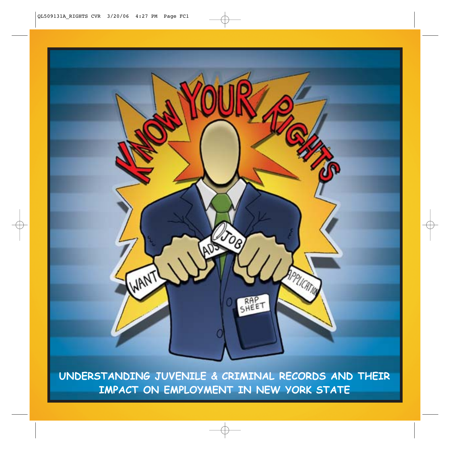

**UNDERSTANDING JUVENILE & CRIMINAL RECORDS AND THEIR IMPACT ON EMPLOYMENT IN NEW YORK STATE**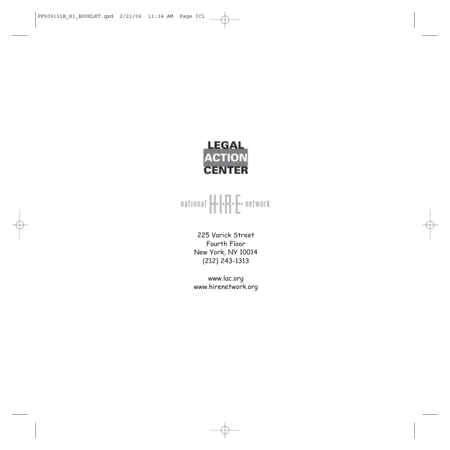

# $\textsf{national } \left\vert \cdot \right\vert \cdot \left\vert \cdot \right\vert \cdot \left\vert \cdot \right\vert \cdot \textsf{network}$

225 Varick Street Fourth Floor New York, NY 10014 (212) 243-1313

www.lac.org www.hirenetwork.org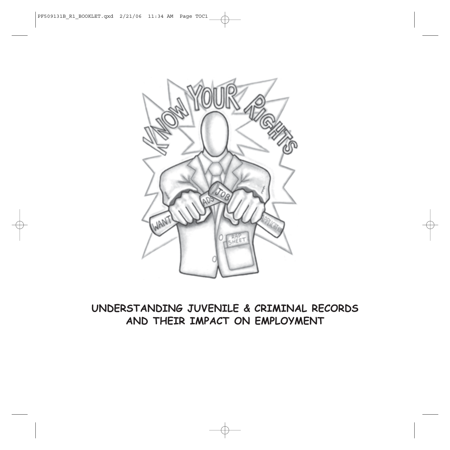

## **UNDERSTANDING JUVENILE & CRIMINAL RECORDS AND THEIR IMPACT ON EMPLOYMENT**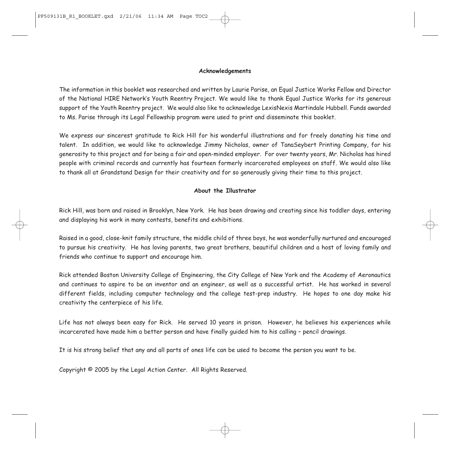#### **Acknowledgements**

The information in this booklet was researched and written by Laurie Parise, an Equal Justice Works Fellow and Director of the National HIRE Network's Youth Reentry Project. We would like to thank Equal Justice Works for its generous support of the Youth Reentry project. We would also like to acknowledge LexisNexis Martindale Hubbell. Funds awarded to Ms. Parise through its Legal Fellowship program were used to print and disseminate this booklet.

We express our sincerest gratitude to Rick Hill for his wonderful illustrations and for freely donating his time and talent. In addition, we would like to acknowledge Jimmy Nicholas, owner of TanaSeybert Printing Company, for his generosity to this project and for being a fair and open-minded employer. For over twenty years, Mr. Nicholas has hired people with criminal records and currently has fourteen formerly incarcerated employees on staff. We would also like to thank all at Grandstand Design for their creativity and for so generously giving their time to this project.

#### **About the Illustrator**

Rick Hill, was born and raised in Brooklyn, New York. He has been drawing and creating since his toddler days, entering and displaying his work in many contests, benefits and exhibitions.

Raised in a good, close-knit family structure, the middle child of three boys, he was wonderfully nurtured and encouraged to pursue his creativity. He has loving parents, two great brothers, beautiful children and a host of loving family and friends who continue to support and encourage him.

Rick attended Boston University College of Engineering, the City College of New York and the Academy of Aeronautics and continues to aspire to be an inventor and an engineer, as well as a successful artist. He has worked in several different fields, including computer technology and the college test-prep industry. He hopes to one day make his creativity the centerpiece of his life.

Life has not always been easy for Rick. He served 10 years in prison. However, he believes his experiences while incarcerated have made him a better person and have finally guided him to his calling – pencil drawings.

It is his strong belief that any and all parts of ones life can be used to become the person you want to be.

Copyright © 2005 by the Legal Action Center. All Rights Reserved.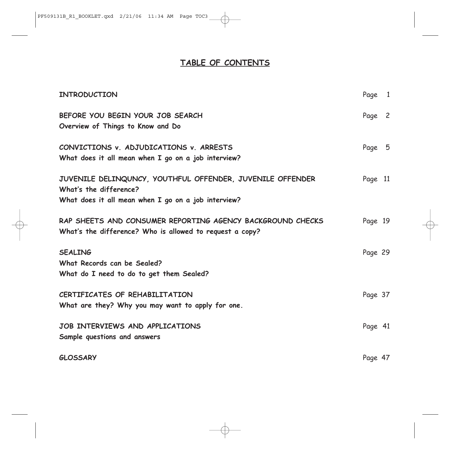### **TABLE OF CONTENTS**

| <b>INTRODUCTION</b>                                                                                                                        | Page 1  |  |
|--------------------------------------------------------------------------------------------------------------------------------------------|---------|--|
| BEFORE YOU BEGIN YOUR JOB SEARCH<br>Overview of Things to Know and Do                                                                      | Page 2  |  |
| CONVICTIONS v. ADJUDICATIONS v. ARRESTS<br>What does it all mean when I go on a job interview?                                             | Page 5  |  |
| JUVENILE DELINQUNCY, YOUTHFUL OFFENDER, JUVENILE OFFENDER<br>What's the difference?<br>What does it all mean when I go on a job interview? | Page 11 |  |
| RAP SHEETS AND CONSUMER REPORTING AGENCY BACKGROUND CHECKS<br>What's the difference? Who is allowed to request a copy?                     | Page 19 |  |
| <b>SEALING</b><br>What Records can be Sealed?<br>What do I need to do to get them Sealed?                                                  | Page 29 |  |
| CERTIFICATES OF REHABILITATION<br>What are they? Why you may want to apply for one.                                                        | Page 37 |  |
| JOB INTERVIEWS AND APPLICATIONS<br>Sample questions and answers                                                                            | Page 41 |  |
| <b>GLOSSARY</b>                                                                                                                            | Page 47 |  |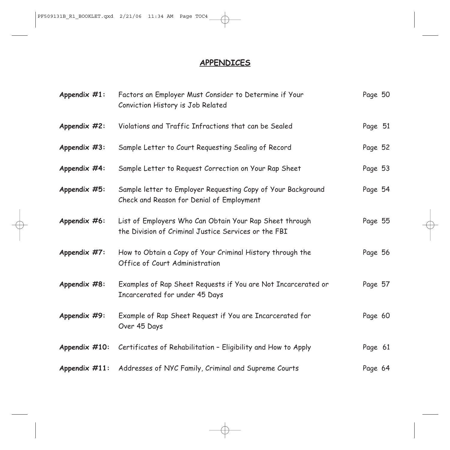## **APPENDICES**

| Appendix $#1$ :  | Factors an Employer Must Consider to Determine if Your<br>Conviction History is Job Related                     | Page 50 |  |
|------------------|-----------------------------------------------------------------------------------------------------------------|---------|--|
| Appendix #2:     | Violations and Traffic Infractions that can be Sealed                                                           | Page 51 |  |
| Appendix #3:     | Sample Letter to Court Requesting Sealing of Record                                                             | Page 52 |  |
| Appendix #4:     | Sample Letter to Request Correction on Your Rap Sheet                                                           | Page 53 |  |
| Appendix #5:     | Sample letter to Employer Requesting Copy of Your Background<br>Check and Reason for Denial of Employment       | Page 54 |  |
| Appendix #6:     | List of Employers Who Can Obtain Your Rap Sheet through<br>the Division of Criminal Justice Services or the FBI | Page 55 |  |
| Appendix #7:     | How to Obtain a Copy of Your Criminal History through the<br>Office of Court Administration                     | Page 56 |  |
| Appendix #8:     | Examples of Rap Sheet Requests if You are Not Incarcerated or<br>Incarcerated for under 45 Days                 | Page 57 |  |
| Appendix #9:     | Example of Rap Sheet Request if You are Incarcerated for<br>Over 45 Days                                        | Page 60 |  |
| Appendix $#10$ : | Certificates of Rehabilitation - Eligibility and How to Apply                                                   | Page 61 |  |
| Appendix $#11$ : | Addresses of NYC Family, Criminal and Supreme Courts                                                            | Page 64 |  |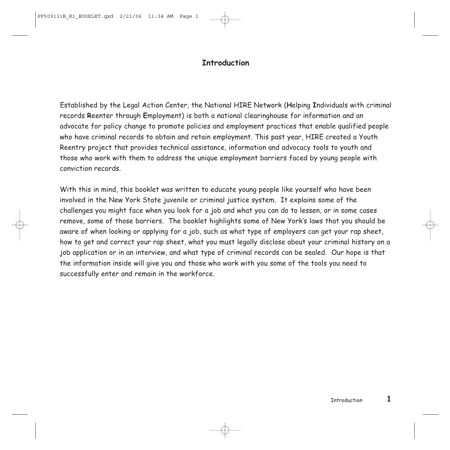### **Introduction**

Established by the Legal Action Center, the National HIRE Network (**H**elping **I**ndividuals with criminal records **R**eenter through **E**mployment) is both a national clearinghouse for information and an advocate for policy change to promote policies and employment practices that enable qualified people who have criminal records to obtain and retain employment. This past year, HIRE created a Youth Reentry project that provides technical assistance, information and advocacy tools to youth and those who work with them to address the unique employment barriers faced by young people with conviction records.

With this in mind, this booklet was written to educate young people like yourself who have been involved in the New York State juvenile or criminal justice system. It explains some of the challenges you might face when you look for a job and what you can do to lessen, or in some cases remove, some of those barriers. The booklet highlights some of New York's laws that you should be aware of when looking or applying for a job, such as what type of employers can get your rap sheet, how to get and correct your rap sheet, what you must legally disclose about your criminal history on a job application or in an interview, and what type of criminal records can be sealed. Our hope is that the information inside will give you and those who work with you some of the tools you need to successfully enter and remain in the workforce.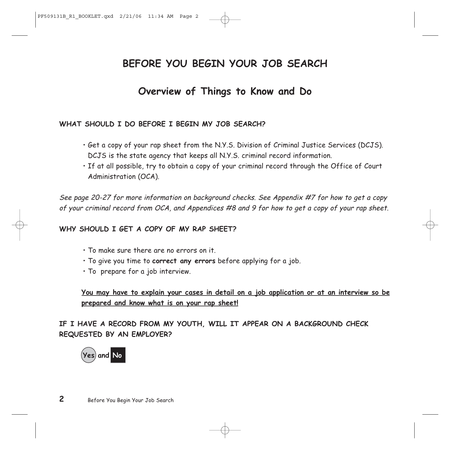## **BEFORE YOU BEGIN YOUR JOB SEARCH**

## **Overview of Things to Know and Do**

### **WHAT SHOULD I DO BEFORE I BEGIN MY JOB SEARCH?**

- Get a copy of your rap sheet from the N.Y.S. Division of Criminal Justice Services (DCJS). DCJS is the state agency that keeps all N.Y.S. criminal record information.
- If at all possible, try to obtain a copy of your criminal record through the Office of Court Administration (OCA).

See page 20-27 for more information on background checks. See Appendix #7 for how to get a copy of your criminal record from OCA, and Appendices #8 and 9 for how to get a copy of your rap sheet.

WHY SHOULD I GFT A COPY OF MY RAP SHEFT?

- To make sure there are no errors on it.
- To give you time to **correct any errors** before applying for a job.
- To prepare for a job interview.

**You may have to explain your cases in detail on a job application or at an interview so be prepared and know what is on your rap sheet!**

**IF I HAVE A RECORD FROM MY YOUTH, WILL IT APPEAR ON A BACKGROUND CHECK REQUESTED BY AN EMPLOYER?**

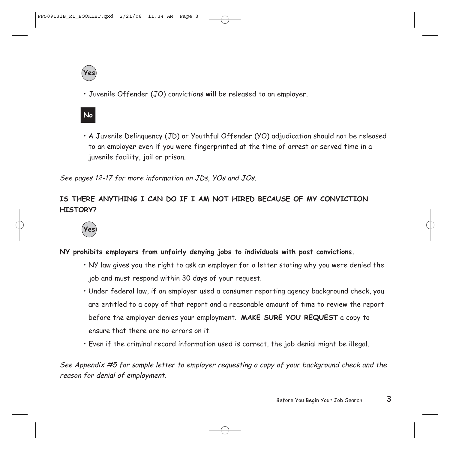

• Juvenile Offender (JO) convictions **will** be released to an employer.

## **No**

• A Juvenile Delinquency (JD) or Youthful Offender (YO) adjudication should not be released to an employer even if you were fingerprinted at the time of arrest or served time in a juvenile facility, jail or prison.

See pages 12-17 for more information on JDs, YOs and JOs.

### **IS THERE ANYTHING I CAN DO IF I AM NOT HIRED BECAUSE OF MY CONVICTION HISTORY?**



### **NY prohibits employers from unfairly denying jobs to individuals with past convictions.**

- NY law gives you the right to ask an employer for a letter stating why you were denied the job and must respond within 30 days of your request.
- Under federal law, if an employer used a consumer reporting agency background check, you are entitled to a copy of that report and a reasonable amount of time to review the report before the employer denies your employment. **MAKE SURE YOU REQUEST** a copy to ensure that there are no errors on it.
- Even if the criminal record information used is correct, the job denial might be illegal.

See Appendix #5 for sample letter to employer requesting a copy of your background check and the reason for denial of employment.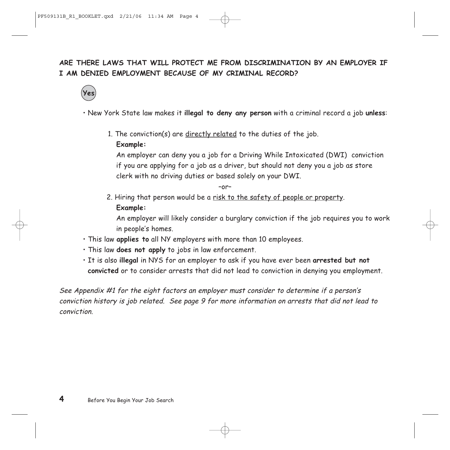## **ARE THERE LAWS THAT WILL PROTECT ME FROM DISCRIMINATION BY AN EMPLOYER IF I AM DENIED EMPLOYMENT BECAUSE OF MY CRIMINAL RECORD?**



• New York State law makes it **illegal to deny any person** with a criminal record a job **unless**:

1. The conviction(s) are directly related to the duties of the job.

### **Example:**

An employer can deny you a job for a Driving While Intoxicated (DWI) conviction if you are applying for a job as a driver, but should not deny you a job as store clerk with no driving duties or based solely on your DWI.

–or–

2. Hiring that person would be a risk to the safety of people or property. **Example:** 

An employer will likely consider a burglary conviction if the job requires you to work in people's homes.

- This law **applies to** all NY employers with more than 10 employees.
- This law **does not apply** to jobs in law enforcement.
- It is also **illegal** in NYS for an employer to ask if you have ever been **arrested but not convicted** or to consider arrests that did not lead to conviction in denying you employment.

See Appendix #1 for the eight factors an employer must consider to determine if a person's conviction history is job related. See page 9 for more information on arrests that did not lead to conviction.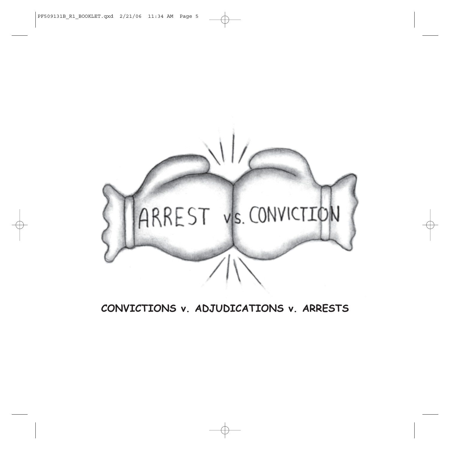

**CONVICTIONS v. ADJUDICATIONS v. ARRESTS**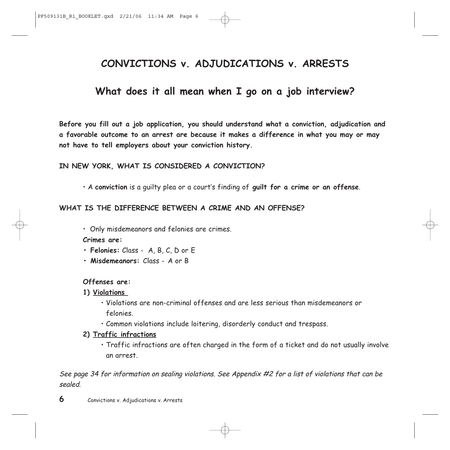## **CONVICTIONS v. ADJUDICATIONS v. ARRESTS**

## **What does it all mean when I go on a job interview?**

**Before you fill out a job application, you should understand what a conviction, adjudication and a favorable outcome to an arrest are because it makes a difference in what you may or may not have to tell employers about your conviction history.** 

#### **IN NEW YORK, WHAT IS CONSIDERED A CONVICTION?**

• A **conviction** is a guilty plea or a court's finding of **guilt for a crime or an offense**.

#### **WHAT IS THE DIFFERENCE BETWEEN A CRIME AND AN OFFENSE?**

• Only misdemeanors and felonies are crimes.

**Crimes are:**

- **Felonies:** Class A, B, C, D or E
- **Misdemeanors:** Class A or B

#### **Offenses are:**

- **1) Violations** 
	- Violations are non-criminal offenses and are less serious than misdemeanors or felonies.
	- Common violations include loitering, disorderly conduct and trespass.
- **2) Traffic infractions**
	- Traffic infractions are often charged in the form of a ticket and do not usually involve an arrest.

See page 34 for information on sealing violations. See Appendix #2 for a list of violations that can be sealed.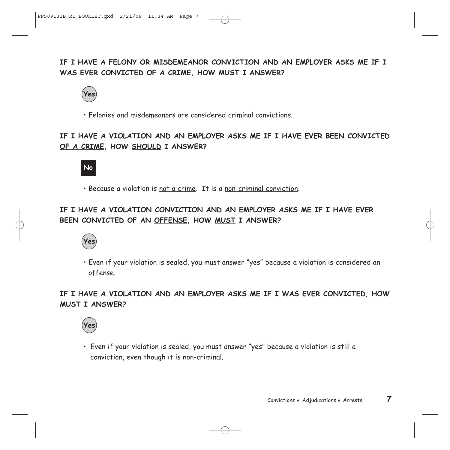**IF I HAVE A FELONY OR MISDEMEANOR CONVICTION AND AN EMPLOYER ASKS ME IF I WAS EVER CONVICTED OF A CRIME, HOW MUST I ANSWER?**



• Felonies and misdemeanors are considered criminal convictions.

### **IF I HAVE A VIOLATION AND AN EMPLOYER ASKS ME IF I HAVE EVER BEEN CONVICTED OF A CRIME, HOW SHOULD I ANSWER?**



• Because a violation is not a crime. It is a non-criminal conviction.

### **IF I HAVE A VIOLATION CONVICTION AND AN EMPLOYER ASKS ME IF I HAVE EVER BEEN CONVICTED OF AN OFFENSE, HOW MUST I ANSWER?**



• Even if your violation is sealed, you must answer "yes" because a violation is considered an offense.

**IF I HAVE A VIOLATION AND AN EMPLOYER ASKS ME IF I WAS EVER CONVICTED, HOW MUST I ANSWER?**



• Even if your violation is sealed, you must answer "yes" because a violation is still a conviction, even though it is non-criminal.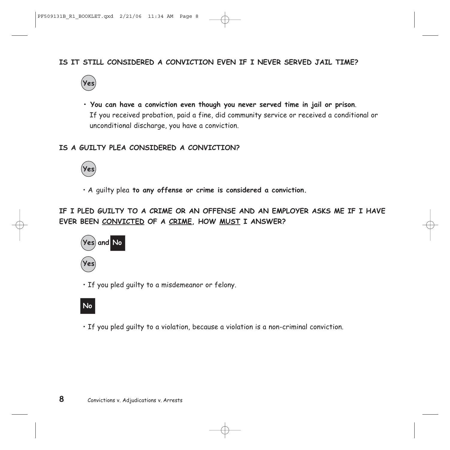### **IS IT STILL CONSIDERED A CONVICTION EVEN IF I NEVER SERVED JAIL TIME?**



**• You can have a conviction even though you never served time in jail or prison**. If you received probation, paid a fine, did community service or received a conditional or unconditional discharge, you have a conviction.

### **IS A GUILTY PLEA CONSIDERED A CONVICTION?**



• A guilty plea **to any offense or crime is considered a conviction.**

**IF I PLED GUILTY TO A CRIME OR AN OFFENSE AND AN EMPLOYER ASKS ME IF I HAVE EVER BEEN CONVICTED OF A CRIME, HOW MUST I ANSWER?**



• If you pled guilty to a misdemeanor or felony.

## **No**

• If you pled guilty to a violation, because a violation is a non-criminal conviction.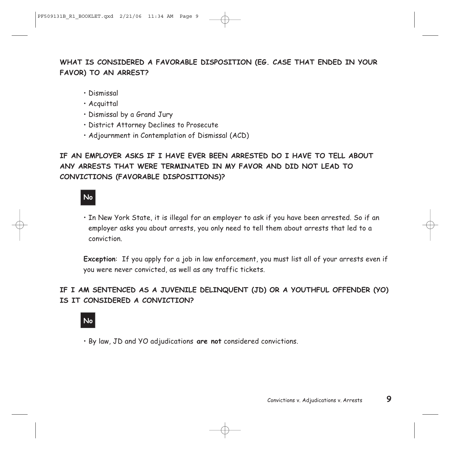## **WHAT IS CONSIDERED A FAVORABLE DISPOSITION (EG. CASE THAT ENDED IN YOUR FAVOR) TO AN ARREST?**

- Dismissal
- Acquittal
- Dismissal by a Grand Jury
- District Attorney Declines to Prosecute
- Adjournment in Contemplation of Dismissal (ACD)

## **IF AN EMPLOYER ASKS IF I HAVE EVER BEEN ARRESTED DO I HAVE TO TELL ABOUT ANY ARRESTS THAT WERE TERMINATED IN MY FAVOR AND DID NOT LEAD TO CONVICTIONS (FAVORABLE DISPOSITIONS)?**

## **No**

• In New York State, it is illegal for an employer to ask if you have been arrested. So if an employer asks you about arrests, you only need to tell them about arrests that led to a conviction.

**Exception**: If you apply for a job in law enforcement, you must list all of your arrests even if you were never convicted, as well as any traffic tickets.

### **IF I AM SENTENCED AS A JUVENILE DELINQUENT (JD) OR A YOUTHFUL OFFENDER (YO) IS IT CONSIDERED A CONVICTION?**

## **No**

• By law, JD and YO adjudications **are not** considered convictions.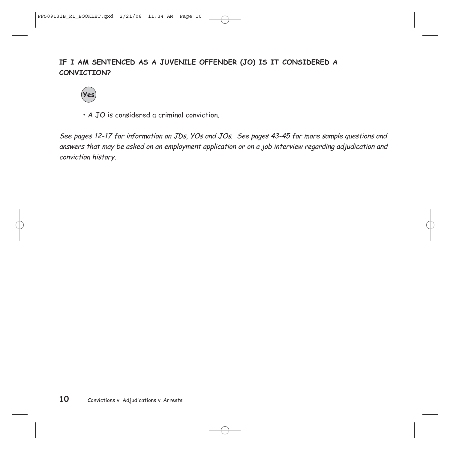## **IF I AM SENTENCED AS A JUVENILE OFFENDER (JO) IS IT CONSIDERED A CONVICTION?**



• A JO is considered a criminal conviction.

See pages 12-17 for information on JDs, YOs and JOs. See pages 43-45 for more sample questions and answers that may be asked on an employment application or on a job interview regarding adjudication and conviction history.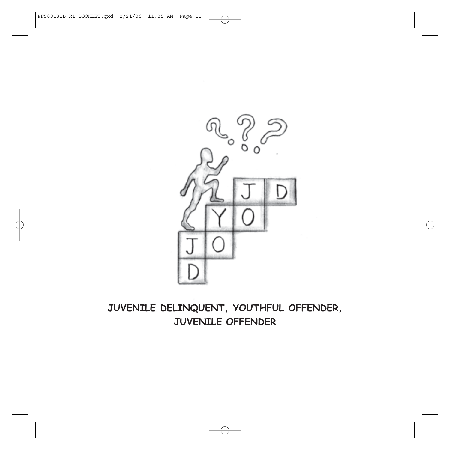

## **JUVENILE DELINQUENT, YOUTHFUL OFFENDER, JUVENILE OFFENDER**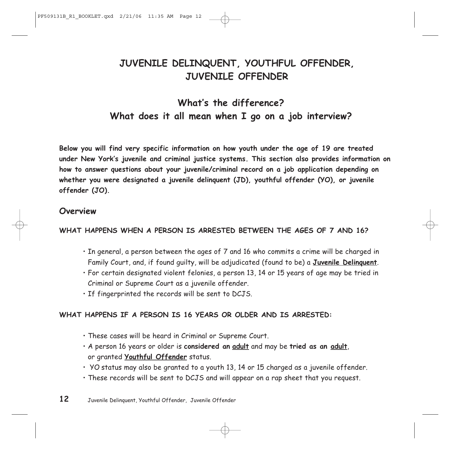## **JUVENILE DELINQUENT, YOUTHFUL OFFENDER, JUVENILE OFFENDER**

## **What's the difference? What does it all mean when I go on a job interview?**

**Below you will find very specific information on how youth under the age of 19 are treated under New York's juvenile and criminal justice systems. This section also provides information on how to answer questions about your juvenile/criminal record on a job application depending on whether you were designated a juvenile delinquent (JD), youthful offender (YO), or juvenile offender (JO).** 

### **Overview**

### **WHAT HAPPENS WHEN A PERSON IS ARRESTED BETWEEN THE AGES OF 7 AND 16?**

- In general, a person between the ages of 7 and 16 who commits a crime will be charged in Family Court, and, if found guilty, will be adjudicated (found to be) a **Juvenile Delinquent**.
- For certain designated violent felonies, a person 13, 14 or 15 years of age may be tried in Criminal or Supreme Court as a juvenile offender.
- If fingerprinted the records will be sent to DCJS.

### **WHAT HAPPENS IF A PERSON IS 16 YEARS OR OLDER AND IS ARRESTED:**

- These cases will be heard in Criminal or Supreme Court.
- A person 16 years or older is **considered an adult** and may be **tried as an adult**, or granted **Youthful Offender** status.
- YO status may also be granted to a youth 13, 14 or 15 charged as a juvenile offender.
- These records will be sent to DCJS and will appear on a rap sheet that you request.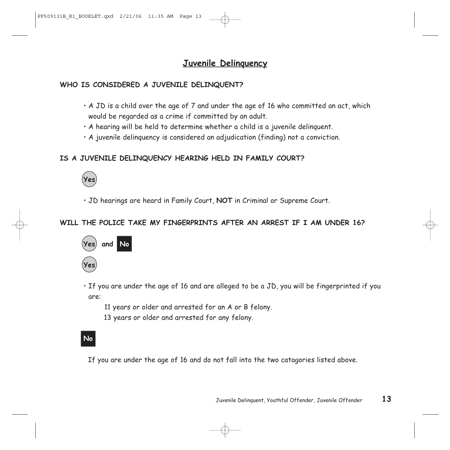## **Juvenile Delinquency**

### **WHO IS CONSIDERED A JUVENILE DELINQUENT?**

- $\cdot$  A JD is a child over the age of 7 and under the age of 16 who committed an act, which would be regarded as a crime if committed by an adult.
- A hearing will be held to determine whether a child is a juvenile delinquent.
- A juvenile delinquency is considered an adjudication (finding) not a conviction.

### **IS A JUVENILE DELINQUENCY HEARING HELD IN FAMILY COURT?**



• JD hearings are heard in Family Court, **NOT** in Criminal or Supreme Court.

### **WILL THE POLICE TAKE MY FINGERPRINTS AFTER AN ARREST IF I AM UNDER 16?**



- If you are under the age of 16 and are alleged to be a JD, you will be fingerprinted if you are:
	- 11 years or older and arrested for an A or B felony.
	- 13 years or older and arrested for any felony.

## **No**

If you are under the age of 16 and do not fall into the two catagories listed above.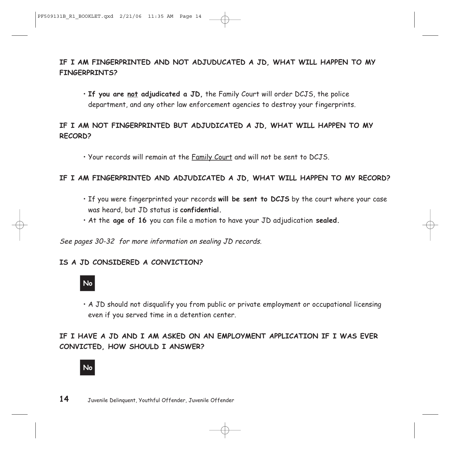### **IF I AM FINGERPRINTED AND NOT ADJUDUCATED A JD, WHAT WILL HAPPEN TO MY FINGERPRINTS?**

• **If you are not adjudicated a JD,** the Family Court will order DCJS, the police department, and any other law enforcement agencies to destroy your fingerprints.

### **IF I AM NOT FINGERPRINTED BUT ADJUDICATED A JD, WHAT WILL HAPPEN TO MY RECORD?**

• Your records will remain at the Family Court and will not be sent to DCJS.

### **IF I AM FINGERPRINTED AND ADJUDICATED A JD, WHAT WILL HAPPEN TO MY RECORD?**

- If you were fingerprinted your records **will be sent to DCJS** by the court where your case was heard, but JD status is **confidential.**
- At the **age of 16** you can file a motion to have your JD adjudication **sealed.**

See pages 30-32 for more information on sealing JD records.

### **IS A JD CONSIDERED A CONVICTION?**



• A JD should not disqualify you from public or private employment or occupational licensing even if you served time in a detention center.

### **IF I HAVE A JD AND I AM ASKED ON AN EMPLOYMENT APPLICATION IF I WAS EVER CONVICTED, HOW SHOULD I ANSWER?**

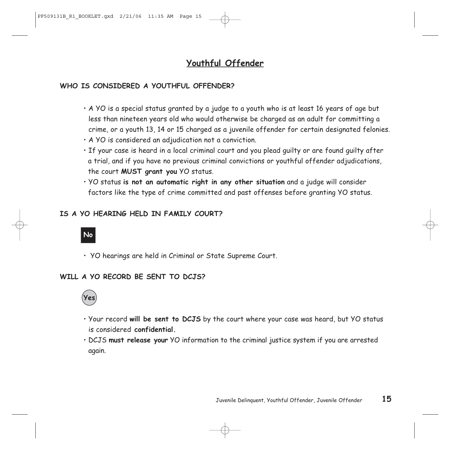## **Youthful Offender**

### **WHO IS CONSIDERED A YOUTHFUL OFFENDER?**

- A YO is a special status granted by a judge to a youth who is at least 16 years of age but less than nineteen years old who would otherwise be charged as an adult for committing a crime, or a youth 13, 14 or 15 charged as a juvenile offender for certain designated felonies.
- A YO is considered an adjudication not a conviction.
- If your case is heard in a local criminal court and you plead guilty or are found guilty after a trial, and if you have no previous criminal convictions or youthful offender adjudications, the court **MUST grant you** YO status.
- YO status **is not an automatic right in any other situation** and a judge will consider factors like the type of crime committed and past offenses before granting YO status.

### **IS A YO HEARING HELD IN FAMILY COURT?**

## **No**

• YO hearings are held in Criminal or State Supreme Court.

### **WILL A YO RECORD BE SENT TO DCJS?**



- Your record **will be sent to DCJS** by the court where your case was heard, but YO status is considered **confidential.**
- DCJS **must release your** YO information to the criminal justice system if you are arrested again.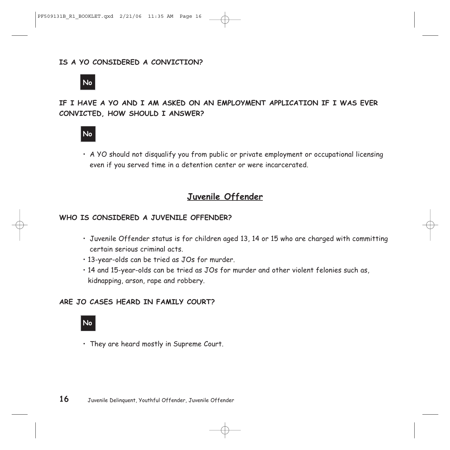### **IS A YO CONSIDERED A CONVICTION?**



### **IF I HAVE A YO AND I AM ASKED ON AN EMPLOYMENT APPLICATION IF I WAS EVER CONVICTED, HOW SHOULD I ANSWER?**



• A YO should not disqualify you from public or private employment or occupational licensing even if you served time in a detention center or were incarcerated.

### **Juvenile Offender**

#### **WHO IS CONSIDERED A JUVENILE OFFENDER?**

- Juvenile Offender status is for children aged 13, 14 or 15 who are charged with committing certain serious criminal acts.
- 13-year-olds can be tried as JOs for murder.
- 14 and 15-year-olds can be tried as JOs for murder and other violent felonies such as, kidnapping, arson, rape and robbery.

#### **ARE JO CASES HEARD IN FAMILY COURT?**

### **No**

• They are heard mostly in Supreme Court.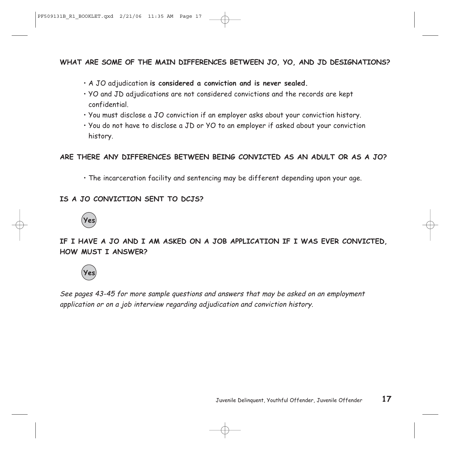### **WHAT ARE SOME OF THE MAIN DIFFERENCES BETWEEN JO, YO, AND JD DESIGNATIONS?**

- A JO adjudication **is considered a conviction and is never sealed.**
- YO and JD adjudications are not considered convictions and the records are kept confidential.
- You must disclose a JO conviction if an employer asks about your conviction history.
- You do not have to disclose a JD or YO to an employer if asked about your conviction history.

### **ARE THERE ANY DIFFERENCES BETWEEN BEING CONVICTED AS AN ADULT OR AS A JO?**

• The incarceration facility and sentencing may be different depending upon your age.

### **IS A JO CONVICTION SENT TO DCJS?**



**IF I HAVE A JO AND I AM ASKED ON A JOB APPLICATION IF I WAS EVER CONVICTED, HOW MUST I ANSWER?**



See pages 43-45 for more sample questions and answers that may be asked on an employment application or on a job interview regarding adjudication and conviction history.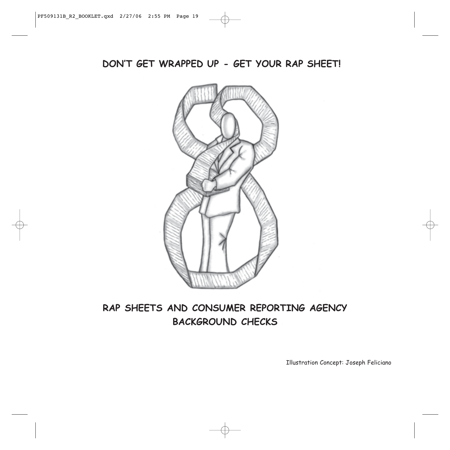**DON'T GET WRAPPED UP - GET YOUR RAP SHEET!**



## **RAP SHEETS AND CONSUMER REPORTING AGENCY BACKGROUND CHECKS**

Illustration Concept: Joseph Feliciano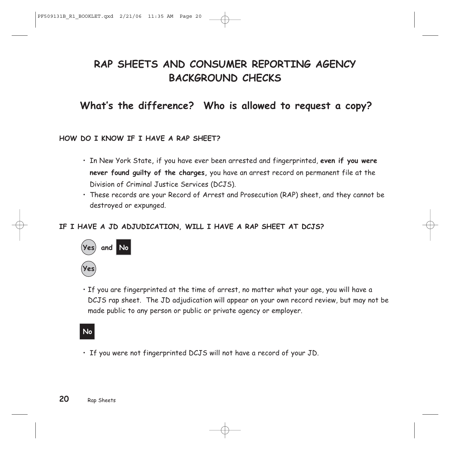## **RAP SHEETS AND CONSUMER REPORTING AGENCY BACKGROUND CHECKS**

## **What's the difference? Who is allowed to request a copy?**

### **HOW DO I KNOW IF I HAVE A RAP SHEET?**

- In New York State, if you have ever been arrested and fingerprinted, **even if you were never found guilty of the charges,** you have an arrest record on permanent file at the Division of Criminal Justice Services (DCJS).
- These records are your Record of Arrest and Prosecution (RAP) sheet, and they cannot be destroyed or expunged.

### **IF I HAVE A JD ADJUDICATION, WILL I HAVE A RAP SHEET AT DCJS?**



• If you are fingerprinted at the time of arrest, no matter what your age, you will have a DCJS rap sheet. The JD adjudication will appear on your own record review, but may not be made public to any person or public or private agency or employer.

### **No**

• If you were not fingerprinted DCJS will not have a record of your JD.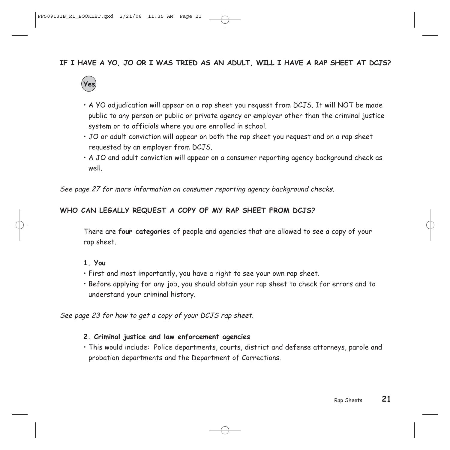### **IF I HAVE A YO, JO OR I WAS TRIED AS AN ADULT, WILL I HAVE A RAP SHEET AT DCJS?**



- A YO adjudication will appear on a rap sheet you request from DCJS. It will NOT be made public to any person or public or private agency or employer other than the criminal justice system or to officials where you are enrolled in school.
- JO or adult conviction will appear on both the rap sheet you request and on a rap sheet requested by an employer from DCJS.
- A JO and adult conviction will appear on a consumer reporting agency background check as well.

See page 27 for more information on consumer reporting agency background checks.

### **WHO CAN LEGALLY REQUEST A COPY OF MY RAP SHEET FROM DCJS?**

There are **four categories** of people and agencies that are allowed to see a copy of your rap sheet.

#### **1. You**

- First and most importantly, you have a right to see your own rap sheet.
- Before applying for any job, you should obtain your rap sheet to check for errors and to understand your criminal history.

See page 23 for how to get a copy of your DCJS rap sheet.

#### **2. Criminal justice and law enforcement agencies**

• This would include: Police departments, courts, district and defense attorneys, parole and probation departments and the Department of Corrections.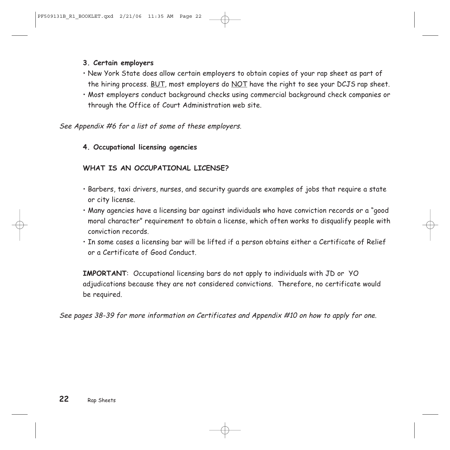### **3. Certain employers**

- New York State does allow certain employers to obtain copies of your rap sheet as part of the hiring process. BUT, most employers do NOT have the right to see your DCJS rap sheet.
- Most employers conduct background checks using commercial background check companies or through the Office of Court Administration web site.

See Appendix #6 for a list of some of these employers.

### **4. Occupational licensing agencies**

### **WHAT IS AN OCCUPATIONAL LICENSE?**

- Barbers, taxi drivers, nurses, and security guards are examples of jobs that require a state or city license.
- Many agencies have a licensing bar against individuals who have conviction records or a "good moral character" requirement to obtain a license, which often works to disqualify people with conviction records.
- In some cases a licensing bar will be lifted if a person obtains either a Certificate of Relief or a Certificate of Good Conduct.

**IMPORTANT**: Occupational licensing bars do not apply to individuals with JD or YO adjudications because they are not considered convictions. Therefore, no certificate would be required.

See pages 38-39 for more information on Certificates and Appendix #10 on how to apply for one.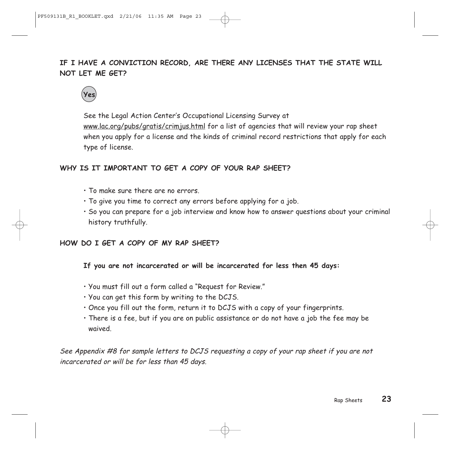## **IF I HAVE A CONVICTION RECORD, ARE THERE ANY LICENSES THAT THE STATE WILL NOT LET ME GET?**



See the Legal Action Center's Occupational Licensing Survey at www.lac.org/pubs/gratis/crimjus.html for a list of agencies that will review your rap sheet when you apply for a license and the kinds of criminal record restrictions that apply for each type of license.

### **WHY IS IT IMPORTANT TO GET A COPY OF YOUR RAP SHEET?**

- To make sure there are no errors.
- To give you time to correct any errors before applying for a job.
- So you can prepare for a job interview and know how to answer questions about your criminal history truthfully.

### **HOW DO I GET A COPY OF MY RAP SHEET?**

**If you are not incarcerated or will be incarcerated for less then 45 days:**

- You must fill out a form called a "Request for Review."
- You can get this form by writing to the DCJS.
- Once you fill out the form, return it to DCJS with a copy of your fingerprints.
- There is a fee, but if you are on public assistance or do not have a job the fee may be waived.

See Appendix #8 for sample letters to DCJS requesting a copy of your rap sheet if you are not incarcerated or will be for less than 45 days.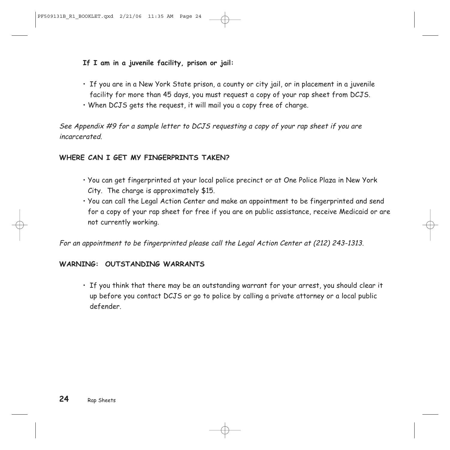### **If I am in a juvenile facility, prison or jail:**

- If you are in a New York State prison, a county or city jail, or in placement in a juvenile facility for more than 45 days, you must request a copy of your rap sheet from DCJS.
- When DCJS gets the request, it will mail you a copy free of charge.

See Appendix #9 for a sample letter to DCJS requesting a copy of your rap sheet if you are incarcerated.

### **WHERE CAN I GET MY FINGERPRINTS TAKEN?**

- You can get fingerprinted at your local police precinct or at One Police Plaza in New York City. The charge is approximately \$15.
- You can call the Legal Action Center and make an appointment to be fingerprinted and send for a copy of your rap sheet for free if you are on public assistance, receive Medicaid or are not currently working.

For an appointment to be fingerprinted please call the Legal Action Center at (212) 243-1313.

### **WARNING: OUTSTANDING WARRANTS**

• If you think that there may be an outstanding warrant for your arrest, you should clear it up before you contact DCJS or go to police by calling a private attorney or a local public defender.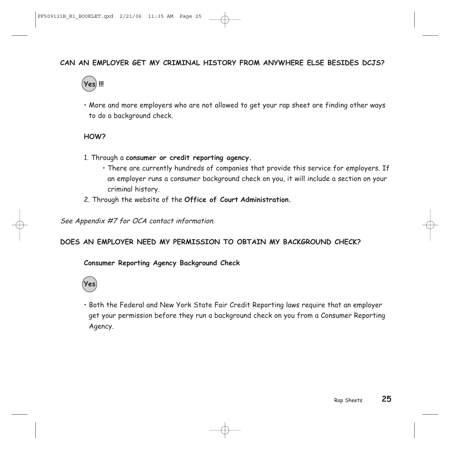### **CAN AN EMPLOYER GET MY CRIMINAL HISTORY FROM ANYWHERE ELSE BESIDES DCJS?**



• More and more employers who are not allowed to get your rap sheet are finding other ways to do a background check.

#### **HOW?**

- 1. Through a **consumer or credit reporting agency.** 
	- There are currently hundreds of companies that provide this service for employers. If an employer runs a consumer background check on you, it will include a section on your criminal history.
- 2. Through the website of the **Office of Court Administration.**

See Appendix #7 for OCA contact information.

### **DOES AN EMPLOYER NEED MY PERMISSION TO OBTAIN MY BACKGROUND CHECK?**

#### **Consumer Reporting Agency Background Check**



• Both the Federal and New York State Fair Credit Reporting laws require that an employer get your permission before they run a background check on you from a Consumer Reporting Agency.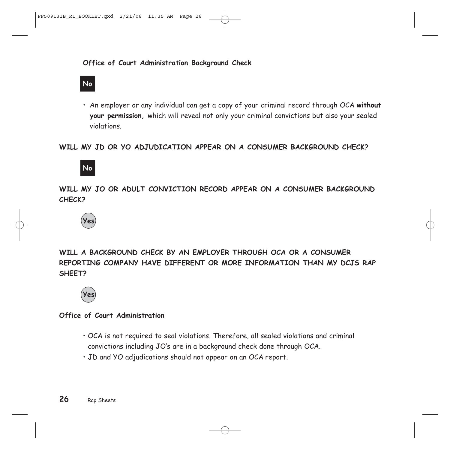### **No**

• An employer or any individual can get a copy of your criminal record through OCA **without your permission,** which will reveal not only your criminal convictions but also your sealed violations.

### **WILL MY JD OR YO ADJUDICATION APPEAR ON A CONSUMER BACKGROUND CHECK?**



**WILL MY JO OR ADULT CONVICTION RECORD APPEAR ON A CONSUMER BACKGROUND CHECK?** 



**WILL A BACKGROUND CHECK BY AN EMPLOYER THROUGH OCA OR A CONSUMER REPORTING COMPANY HAVE DIFFERENT OR MORE INFORMATION THAN MY DCJS RAP SHEET?** 



#### **Office of Court Administration**

- OCA is not required to seal violations. Therefore, all sealed violations and criminal convictions including JO's are in a background check done through OCA.
- JD and YO adjudications should not appear on an OCA report.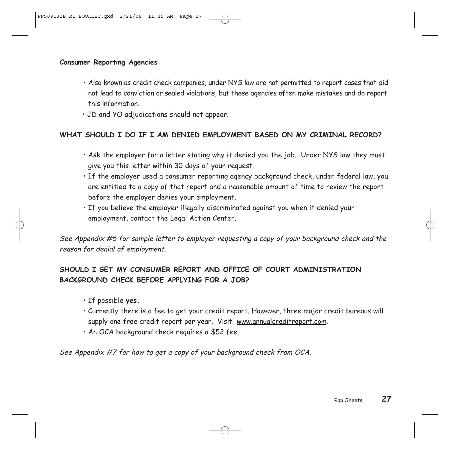#### **Consumer Reporting Agencies**

- Also known as credit check companies, under NYS law are not permitted to report cases that did not lead to conviction or sealed violations, but these agencies often make mistakes and do report this information.
- JD and YO adjudications should not appear.

### **WHAT SHOULD I DO IF I AM DENIED EMPLOYMENT BASED ON MY CRIMINAL RECORD?**

- Ask the employer for a letter stating why it denied you the job. Under NYS law they must give you this letter within 30 days of your request.
- If the employer used a consumer reporting agency background check, under federal law, you are entitled to a copy of that report and a reasonable amount of time to review the report before the employer denies your employment.
- If you believe the employer illegally discriminated against you when it denied your employment, contact the Legal Action Center.

See Appendix #5 for sample letter to employer requesting a copy of your background check and the reason for denial of employment.

### **SHOULD I GET MY CONSUMER REPORT AND OFFICE OF COURT ADMINISTRATION BACKGROUND CHECK BEFORE APPLYING FOR A JOB?**

- If possible **yes.**
- Currently there is a fee to get your credit report. However, three major credit bureaus will supply one free credit report per year. Visit www.annualcreditreport.com.
- An OCA background check requires a \$52 fee.

See Appendix #7 for how to get a copy of your background check from OCA.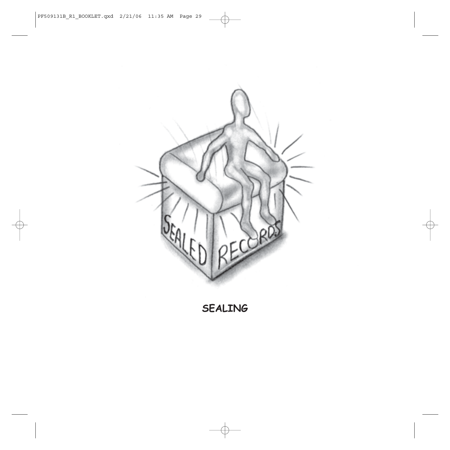

**SEALING**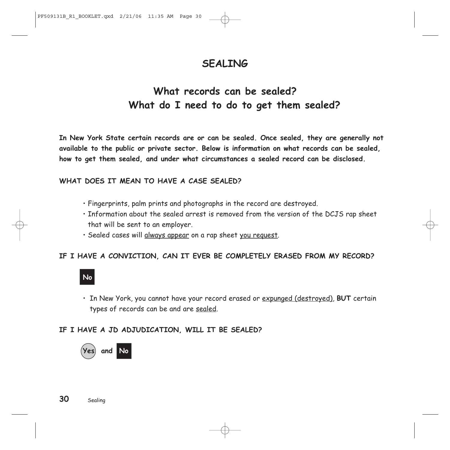## **SEALING**

## **What records can be sealed? What do I need to do to get them sealed?**

**In New York State certain records are or can be sealed. Once sealed, they are generally not available to the public or private sector. Below is information on what records can be sealed, how to get them sealed, and under what circumstances a sealed record can be disclosed.** 

### **WHAT DOES IT MEAN TO HAVE A CASE SEALED?**

- Fingerprints, palm prints and photographs in the record are destroyed.
- Information about the sealed arrest is removed from the version of the DCJS rap sheet that will be sent to an employer.
- Sealed cases will always appear on a rap sheet you request.

### **IF I HAVE A CONVICTION, CAN IT EVER BE COMPLETELY ERASED FROM MY RECORD?**

## **No**

• In New York, you cannot have your record erased or expunged (destroyed), **BUT** certain types of records can be and are sealed.

### **IF I HAVE A JD ADJUDICATION, WILL IT BE SEALED?**

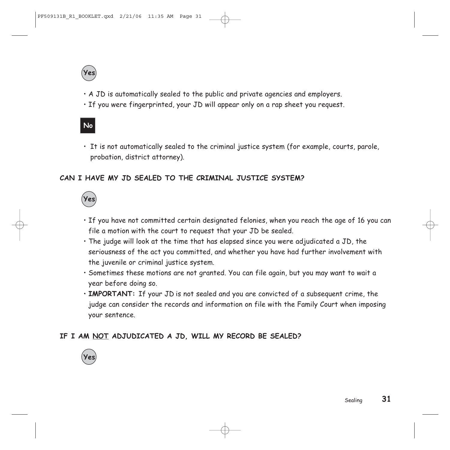

- A JD is automatically sealed to the public and private agencies and employers.
- If you were fingerprinted, your JD will appear only on a rap sheet you request.

## **No**

• It is not automatically sealed to the criminal justice system (for example, courts, parole, probation, district attorney).

### **CAN I HAVE MY JD SEALED TO THE CRIMINAL JUSTICE SYSTEM?**



- If you have not committed certain designated felonies, when you reach the age of 16 you can file a motion with the court to request that your JD be sealed.
- The judge will look at the time that has elapsed since you were adjudicated a JD, the seriousness of the act you committed, and whether you have had further involvement with the juvenile or criminal justice system.
- Sometimes these motions are not granted. You can file again, but you may want to wait a year before doing so.
- **IMPORTANT:** If your JD is not sealed and you are convicted of a subsequent crime, the judge can consider the records and information on file with the Family Court when imposing your sentence.

### **IF I AM NOT ADJUDICATED A JD, WILL MY RECORD BE SEALED?**

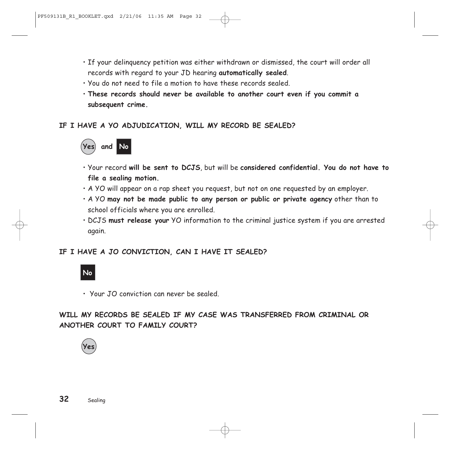- If your delinquency petition was either withdrawn or dismissed, the court will order all records with regard to your JD hearing **automatically sealed**.
- You do not need to file a motion to have these records sealed.
- **These records should never be available to another court even if you commit a subsequent crime.**

### **IF I HAVE A YO ADJUDICATION, WILL MY RECORD BE SEALED?**



- Your record **will be sent to DCJS**, but will be **considered confidential. You do not have to file a sealing motion.**
- A YO will appear on a rap sheet you request, but not on one requested by an employer.
- A YO **may not be made public to any person or public or private agency** other than to school officials where you are enrolled.
- DCJS **must release your** YO information to the criminal justice system if you are arrested again.

### **IF I HAVE A JO CONVICTION, CAN I HAVE IT SEALED?**



• Your JO conviction can never be sealed.

**WILL MY RECORDS BE SEALED IF MY CASE WAS TRANSFERRED FROM CRIMINAL OR ANOTHER COURT TO FAMILY COURT?** 

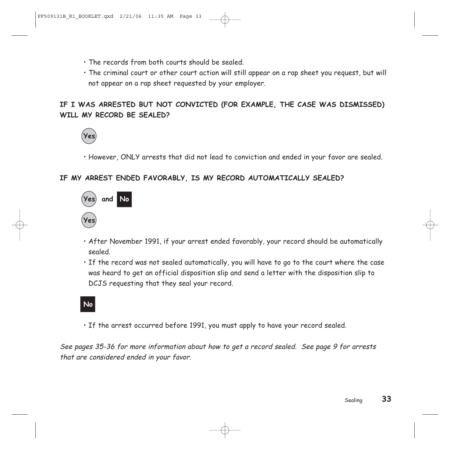- The records from both courts should be sealed.
- The criminal court or other court action will still appear on a rap sheet you request, but will not appear on a rap sheet requested by your employer.

### **IF I WAS ARRESTED BUT NOT CONVICTED (FOR EXAMPLE, THE CASE WAS DISMISSED) WILL MY RECORD BE SEALED?**



• However, ONLY arrests that did not lead to conviction and ended in your favor are sealed.

### **IF MY ARREST ENDED FAVORABLY, IS MY RECORD AUTOMATICALLY SEALED?**



- After November 1991, if your arrest ended favorably, your record should be automatically sealed.
- If the record was not sealed automatically, you will have to go to the court where the case was heard to get an official disposition slip and send a letter with the disposition slip to DCJS requesting that they seal your record.

### **No**

• If the arrest occurred before 1991, you must apply to have your record sealed.

See pages 35-36 for more information about how to get a record sealed. See page 9 for arrests that are considered ended in your favor.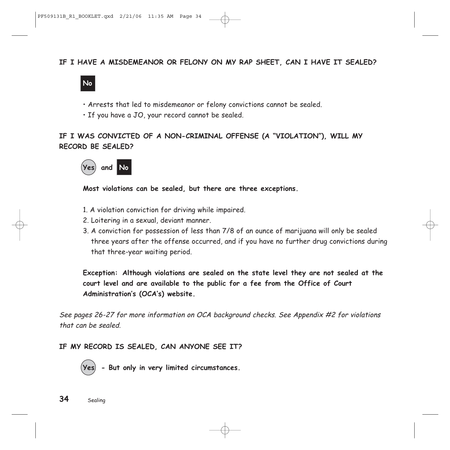### **IF I HAVE A MISDEMEANOR OR FELONY ON MY RAP SHEET, CAN I HAVE IT SEALED?**



- Arrests that led to misdemeanor or felony convictions cannot be sealed.
- If you have a JO, your record cannot be sealed.

### **IF I WAS CONVICTED OF A NON-CRIMINAL OFFENSE (A "VIOLATION"), WILL MY RECORD BE SEALED?**



**Most violations can be sealed, but there are three exceptions.**

- 1. A violation conviction for driving while impaired.
- 2. Loitering in a sexual, deviant manner.
- 3. A conviction for possession of less than 7/8 of an ounce of marijuana will only be sealed three years after the offense occurred, and if you have no further drug convictions during that three-year waiting period.

**Exception: Although violations are sealed on the state level they are not sealed at the court level and are available to the public for a fee from the Office of Court Administration's (OCA's) website.** 

See pages 26-27 for more information on OCA background checks. See Appendix #2 for violations that can be sealed.

### **IF MY RECORD IS SEALED, CAN ANYONE SEE IT?**

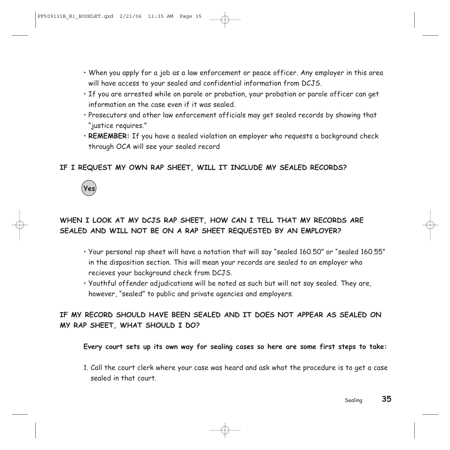- When you apply for a job as a law enforcement or peace officer. Any employer in this area will have access to your sealed and confidential information from DCJS.
- If you are arrested while on parole or probation, your probation or parole officer can get information on the case even if it was sealed.
- Prosecutors and other law enforcement officials may get sealed records by showing that "justice requires."
- **REMEMBER:** If you have a sealed violation an employer who requests a background check through OCA will see your sealed record

### **IF I REQUEST MY OWN RAP SHEET, WILL IT INCLUDE MY SEALED RECORDS?**



## **WHEN I LOOK AT MY DCJS RAP SHEET, HOW CAN I TELL THAT MY RECORDS ARE SEALED AND WILL NOT BE ON A RAP SHEET REQUESTED BY AN EMPLOYER?**

- Your personal rap sheet will have a notation that will say "sealed 160.50" or "sealed 160.55" in the disposition section. This will mean your records are sealed to an employer who recieves your background check from DCJS.
- Youthful offender adjudications will be noted as such but will not say sealed. They are, however, "sealed" to public and private agencies and employers.

### **IF MY RECORD SHOULD HAVE BEEN SEALED AND IT DOES NOT APPEAR AS SEALED ON MY RAP SHEET, WHAT SHOULD I DO?**

**Every court sets up its own way for sealing cases so here are some first steps to take:**

1. Call the court clerk where your case was heard and ask what the procedure is to get a case sealed in that court.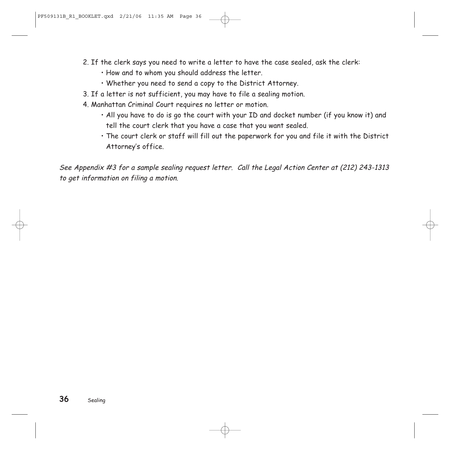- 2. If the clerk says you need to write a letter to have the case sealed, ask the clerk:
	- How and to whom you should address the letter.
	- Whether you need to send a copy to the District Attorney.
- 3. If a letter is not sufficient, you may have to file a sealing motion.
- 4. Manhattan Criminal Court requires no letter or motion.
	- All you have to do is go the court with your ID and docket number (if you know it) and tell the court clerk that you have a case that you want sealed.
	- The court clerk or staff will fill out the paperwork for you and file it with the District Attorney's office.

See Appendix #3 for a sample sealing request letter. Call the Legal Action Center at (212) 243-1313 to get information on filing a motion.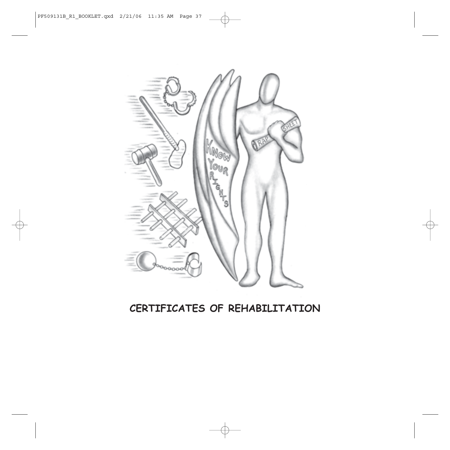

## **CERTIFICATES OF REHABILITATION**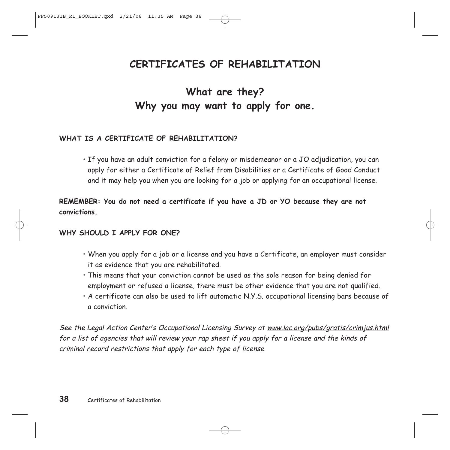## **CERTIFICATES OF REHABILITATION**

## **What are they? Why you may want to apply for one.**

### **WHAT IS A CERTIFICATE OF REHABILITATION?**

• If you have an adult conviction for a felony or misdemeanor or a JO adjudication, you can apply for either a Certificate of Relief from Disabilities or a Certificate of Good Conduct and it may help you when you are looking for a job or applying for an occupational license.

**REMEMBER: You do not need a certificate if you have a JD or YO because they are not convictions.**

#### **WHY SHOULD I APPLY FOR ONE?**

- When you apply for a job or a license and you have a Certificate, an employer must consider it as evidence that you are rehabilitated.
- This means that your conviction cannot be used as the sole reason for being denied for employment or refused a license, there must be other evidence that you are not qualified.
- A certificate can also be used to lift automatic N.Y.S. occupational licensing bars because of a conviction.

See the Legal Action Center's Occupational Licensing Survey at www.lac.org/pubs/gratis/crimjus.html for a list of agencies that will review your rap sheet if you apply for a license and the kinds of criminal record restrictions that apply for each type of license.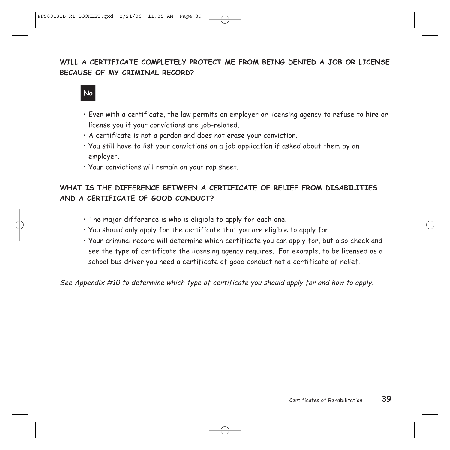### **WILL A CERTIFICATE COMPLETELY PROTECT ME FROM BEING DENIED A JOB OR LICENSE BECAUSE OF MY CRIMINAL RECORD?**



- Even with a certificate, the law permits an employer or licensing agency to refuse to hire or license you if your convictions are job-related.
- A certificate is not a pardon and does not erase your conviction.
- You still have to list your convictions on a job application if asked about them by an employer.
- Your convictions will remain on your rap sheet.

### **WHAT IS THE DIFFERENCE BETWEEN A CERTIFICATE OF RELIEF FROM DISABILITIES AND A CERTIFICATE OF GOOD CONDUCT?**

- The major difference is who is eligible to apply for each one.
- You should only apply for the certificate that you are eligible to apply for.
- Your criminal record will determine which certificate you can apply for, but also check and see the type of certificate the licensing agency requires. For example, to be licensed as a school bus driver you need a certificate of good conduct not a certificate of relief.

See Appendix #10 to determine which type of certificate you should apply for and how to apply.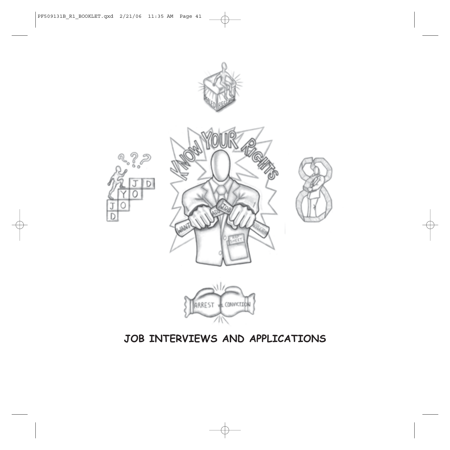

## **JOB INTERVIEWS AND APPLICATIONS**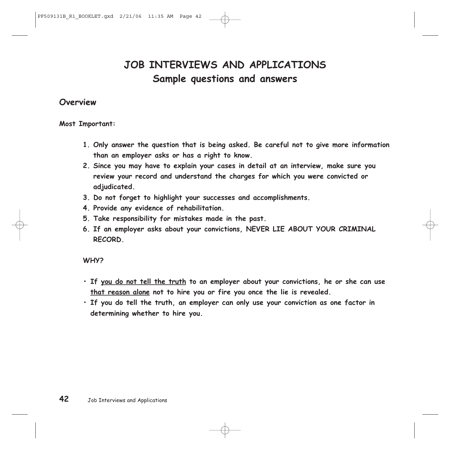## **JOB INTERVIEWS AND APPLICATIONS Sample questions and answers**

### **Overview**

**Most Important:** 

- **1. Only answer the question that is being asked. Be careful not to give more information than an employer asks or has a right to know.**
- **2. Since you may have to explain your cases in detail at an interview, make sure you review your record and understand the charges for which you were convicted or adjudicated.**
- **3. Do not forget to highlight your successes and accomplishments.**
- **4. Provide any evidence of rehabilitation.**
- **5. Take responsibility for mistakes made in the past.**
- **6. If an employer asks about your convictions, NEVER LIE ABOUT YOUR CRIMINAL RECORD.**

#### **WHY?**

- **If you do not tell the truth to an employer about your convictions, he or she can use that reason alone not to hire you or fire you once the lie is revealed.**
- **If you do tell the truth, an employer can only use your conviction as one factor in determining whether to hire you.**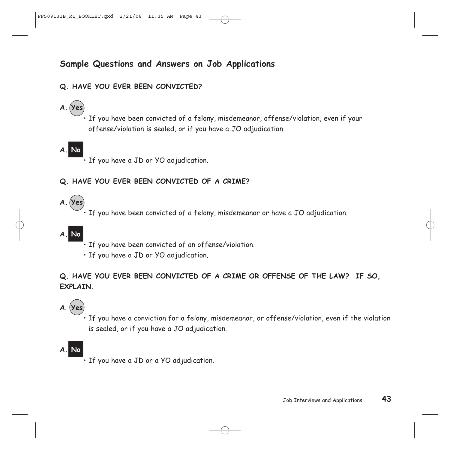## **Sample Questions and Answers on Job Applications**

### **Q. HAVE YOU EVER BEEN CONVICTED?**

**A. Yes**

• If you have been convicted of a felony, misdemeanor, offense/violation, even if your offense/violation is sealed, or if you have a JO adjudication.

- **A. No**
- If you have a JD or YO adjudication.

### **Q. HAVE YOU EVER BEEN CONVICTED OF A CRIME?**

**A. Yes**

• If you have been convicted of a felony, misdemeanor or have a JO adjudication.

## **A. No**

- If you have been convicted of an offense/violation.
- If you have a JD or YO adjudication.

**Q. HAVE YOU EVER BEEN CONVICTED OF A CRIME OR OFFENSE OF THE LAW? IF SO, EXPLAIN.**

## **A**. **Yes**

• If you have a conviction for a felony, misdemeanor, or offense/violation, even if the violation is sealed, or if you have a JO adjudication.

## **A. No**

If you have a JD or a YO adjudication.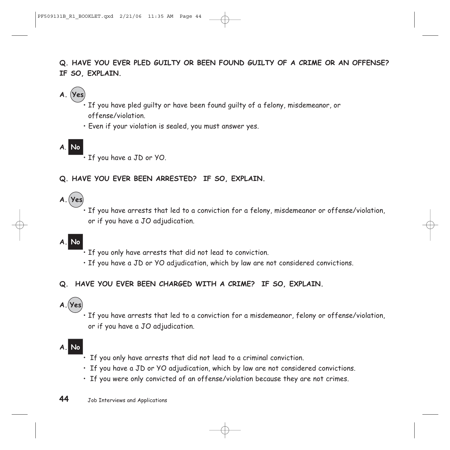## **Q. HAVE YOU EVER PLED GUILTY OR BEEN FOUND GUILTY OF A CRIME OR AN OFFENSE? IF SO, EXPLAIN.**

## **A. Yes**

If you have pled quilty or have been found quilty of a felony, misdemeanor, or offense/violation.

• Even if your violation is sealed, you must answer yes.

## **A**. **No**

If you have a JD or YO.

## **Q. HAVE YOU EVER BEEN ARRESTED? IF SO, EXPLAIN.**

## **A. (Yes)**

• If you have arrests that led to a conviction for a felony, misdemeanor or offense/violation, or if you have a JO adjudication.

## **A. No**

- If you only have arrests that did not lead to conviction.
- If you have a JD or YO adjudication, which by law are not considered convictions.

## **Q. HAVE YOU EVER BEEN CHARGED WITH A CRIME? IF SO, EXPLAIN.**

## **A. Yes**

• If you have arrests that led to a conviction for a misdemeanor, felony or offense/violation, or if you have a JO adjudication.

## **A. No**

- If you only have arrests that did not lead to a criminal conviction.
- If you have a JD or YO adjudication, which by law are not considered convictions.
- If you were only convicted of an offense/violation because they are not crimes.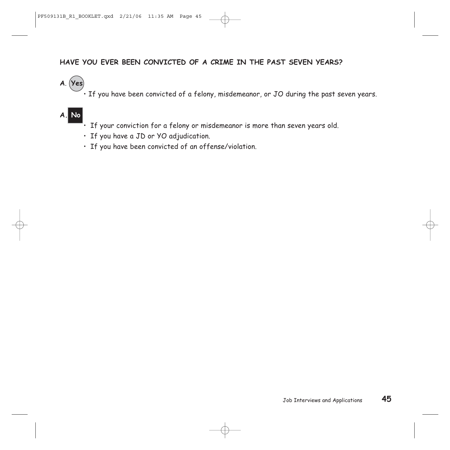### **HAVE YOU EVER BEEN CONVICTED OF A CRIME IN THE PAST SEVEN YEARS?**

**A**. **Yes**

 $\stackrel{\sim}{\cdot}$  If you have been convicted of a felony, misdemeanor, or JO during the past seven years.

## **A. No**

- If your conviction for a felony or misdemeanor is more than seven years old.
- If you have a JD or YO adjudication.
- If you have been convicted of an offense/violation.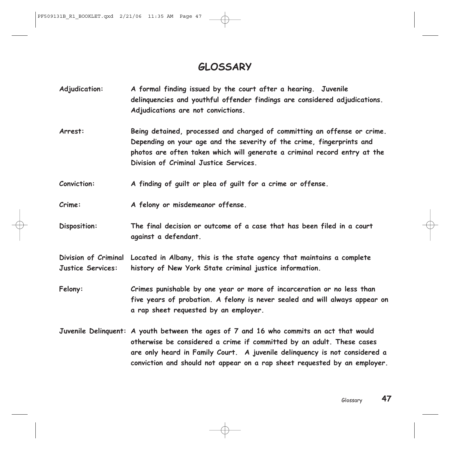## **GLOSSARY**

- **Adjudication: A formal finding issued by the court after a hearing. Juvenile delinquencies and youthful offender findings are considered adjudications. Adjudications are not convictions.**
- **Arrest: Being detained, processed and charged of committing an offense or crime. Depending on your age and the severity of the crime, fingerprints and photos are often taken which will generate a criminal record entry at the Division of Criminal Justice Services.**

**Conviction: A finding of guilt or plea of guilt for a crime or offense.**

**Crime: A felony or misdemeanor offense.**

**Disposition: The final decision or outcome of a case that has been filed in a court against a defendant.** 

**Division of Criminal Located in Albany, this is the state agency that maintains a complete Justice Services: history of New York State criminal justice information.**

- **Felony: Crimes punishable by one year or more of incarceration or no less than five years of probation. A felony is never sealed and will always appear on a rap sheet requested by an employer.**
- **Juvenile Delinquent: A youth between the ages of 7 and 16 who commits an act that would otherwise be considered a crime if committed by an adult. These cases are only heard in Family Court. A juvenile delinquency is not considered a conviction and should not appear on a rap sheet requested by an employer.**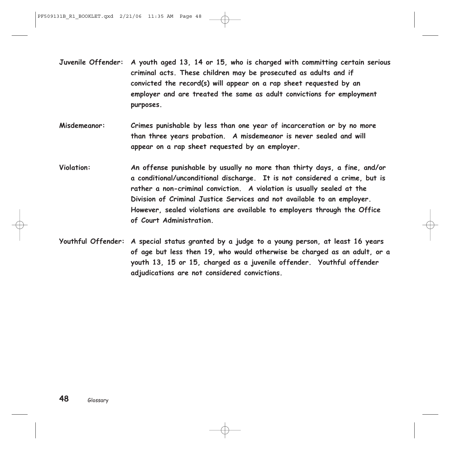- **Juvenile Offender: A youth aged 13, 14 or 15, who is charged with committing certain serious criminal acts. These children may be prosecuted as adults and if convicted the record(s) will appear on a rap sheet requested by an employer and are treated the same as adult convictions for employment purposes.**
- **Misdemeanor: Crimes punishable by less than one year of incarceration or by no more than three years probation. A misdemeanor is never sealed and will appear on a rap sheet requested by an employer.**
- **Violation: An offense punishable by usually no more than thirty days, a fine, and/or a conditional/unconditional discharge. It is not considered a crime, but is rather a non-criminal conviction. A violation is usually sealed at the Division of Criminal Justice Services and not available to an employer. However, sealed violations are available to employers through the Office of Court Administration.**
- **Youthful Offender: A special status granted by a judge to a young person, at least 16 years of age but less then 19, who would otherwise be charged as an adult, or a youth 13, 15 or 15, charged as a juvenile offender. Youthful offender adjudications are not considered convictions.**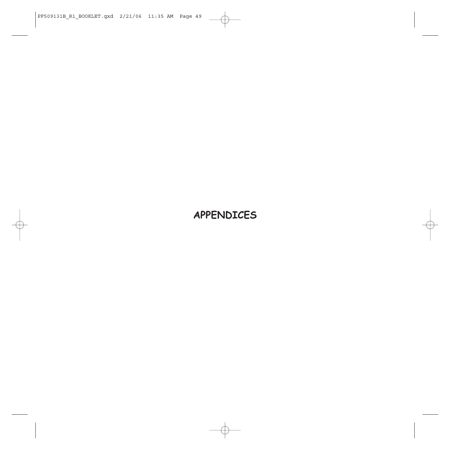## **APPENDICES**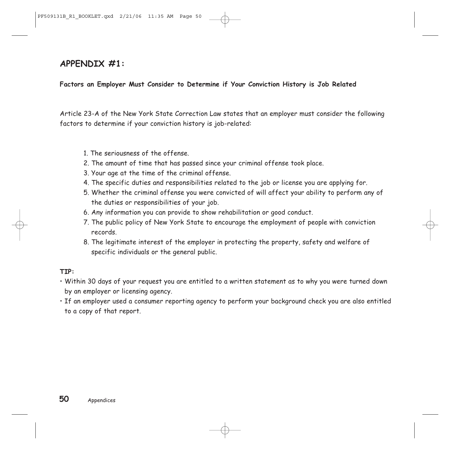## **APPENDIX #1:**

### **Factors an Employer Must Consider to Determine if Your Conviction History is Job Related**

Article 23-A of the New York State Correction Law states that an employer must consider the following factors to determine if your conviction history is job-related:

- 1. The seriousness of the offense.
- 2. The amount of time that has passed since your criminal offense took place.
- 3. Your age at the time of the criminal offense.
- 4. The specific duties and responsibilities related to the job or license you are applying for.
- 5. Whether the criminal offense you were convicted of will affect your ability to perform any of the duties or responsibilities of your job.
- 6. Any information you can provide to show rehabilitation or good conduct.
- 7. The public policy of New York State to encourage the employment of people with conviction records.
- 8. The legitimate interest of the employer in protecting the property, safety and welfare of specific individuals or the general public.

### **TIP:**

- Within 30 days of your request you are entitled to a written statement as to why you were turned down by an employer or licensing agency.
- If an employer used a consumer reporting agency to perform your background check you are also entitled to a copy of that report.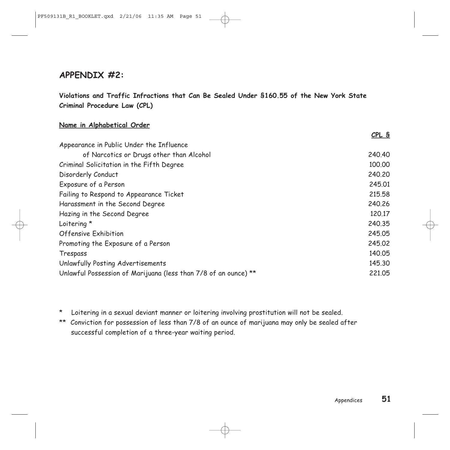## **APPENDIX #2:**

**Violations and Traffic Infractions that Can Be Sealed Under §160.55 of the New York State Criminal Procedure Law (CPL)**

#### **Name in Alphabetical Order**

|                                                                 | CPL S  |
|-----------------------------------------------------------------|--------|
| Appearance in Public Under the Influence                        |        |
| of Narcotics or Drugs other than Alcohol                        | 240,40 |
| Criminal Solicitation in the Fifth Degree                       | 100.00 |
| Disorderly Conduct                                              | 240,20 |
| Exposure of a Person                                            | 245.01 |
| Failing to Respond to Appearance Ticket                         | 215.58 |
| Harassment in the Second Degree                                 | 240.26 |
| Hazing in the Second Degree                                     | 120.17 |
| Loitering *                                                     | 240.35 |
| <b>Offensive Exhibition</b>                                     | 245.05 |
| Promoting the Exposure of a Person                              | 245.02 |
| Trespass                                                        | 140.05 |
| Unlawfully Posting Advertisements                               | 145.30 |
| Unlawful Possession of Marijuana (less than 7/8 of an ounce) ** | 221,05 |

\* Loitering in a sexual deviant manner or loitering involving prostitution will not be sealed.

\*\* Conviction for possession of less than 7/8 of an ounce of marijuana may only be sealed after successful completion of a three-year waiting period.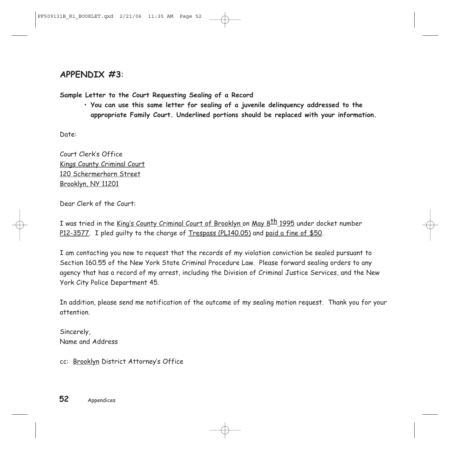## **APPENDIX #3**:

**Sample Letter to the Court Requesting Sealing of a Record** 

**• You can use this same letter for sealing of a juvenile delinquency addressed to the appropriate Family Court. Underlined portions should be replaced with your information.** 

Date:

Court Clerk's Office Kings County Criminal Court 120 Schermerhorn Street Brooklyn, NY 11201

Dear Clerk of the Court:

I was tried in the King's County Criminal Court of Brooklyn on May 8<sup>th</sup> 1995 under docket number P12-3577. I pled guilty to the charge of Trespass (PL140.05) and paid a fine of \$50.

I am contacting you now to request that the records of my violation conviction be sealed pursuant to Section 160.55 of the New York State Criminal Procedure Law. Please forward sealing orders to any agency that has a record of my arrest, including the Division of Criminal Justice Services, and the New York City Police Department 45.

In addition, please send me notification of the outcome of my sealing motion request. Thank you for your attention.

Sincerely, Name and Address

cc: Brooklyn District Attorney's Office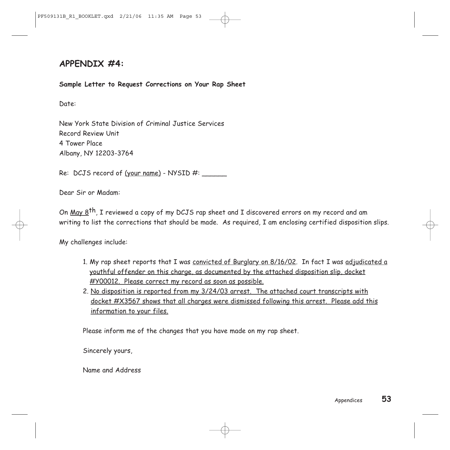## **APPENDIX #4:**

#### **Sample Letter to Request Corrections on Your Rap Sheet**

Date:

New York State Division of Criminal Justice Services Record Review Unit 4 Tower Place Albany, NY 12203-3764

Re: DCJS record of  $(your name)$  - NYSID #: \_\_\_\_\_\_

Dear Sir or Madam:

On May 8<sup>th</sup>, I reviewed a copy of my DCJS rap sheet and I discovered errors on my record and am writing to list the corrections that should be made. As required, I am enclosing certified disposition slips.

My challenges include:

- 1. My rap sheet reports that I was convicted of Burglary on 8/16/02. In fact I was adjudicated a youthful offender on this charge, as documented by the attached disposition slip, docket #Y00012. Please correct my record as soon as possible.
- 2. No disposition is reported from my 3/24/03 arrest. The attached court transcripts with docket #X3567 shows that all charges were dismissed following this arrest. Please add this information to your files.

Please inform me of the changes that you have made on my rap sheet.

Sincerely yours,

Name and Address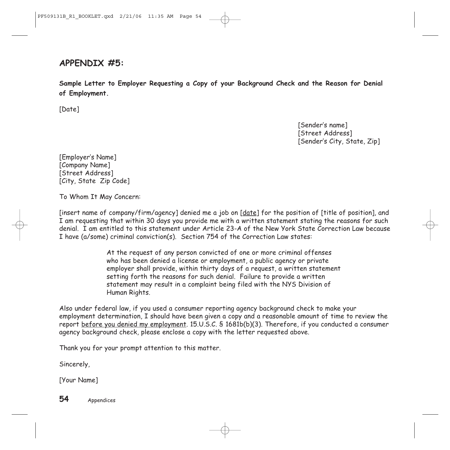## **APPENDIX #5:**

**Sample Letter to Employer Requesting a Copy of your Background Check and the Reason for Denial of Employment.** 

[Date]

[Sender's name] [Street Address] [Sender's City, State, Zip]

[Employer's Name] [Company Name] [Street Address] [City, State Zip Code]

To Whom It May Concern:

[insert name of company/firm/agency] denied me a job on [date] for the position of [title of position], and I am requesting that within 30 days you provide me with a written statement stating the reasons for such denial. I am entitled to this statement under Article 23-A of the New York State Correction Law because I have (a/some) criminal conviction(s). Section 754 of the Correction Law states:

> At the request of any person convicted of one or more criminal offenses who has been denied a license or employment, a public agency or private employer shall provide, within thirty days of a request, a written statement setting forth the reasons for such denial. Failure to provide a written statement may result in a complaint being filed with the NYS Division of Human Rights.

Also under federal law, if you used a consumer reporting agency background check to make your employment determination, I should have been given a copy and a reasonable amount of time to review the report before you denied my employment. 15.U.S.C. § 1681b(b)(3). Therefore, if you conducted a consumer agency background check, please enclose a copy with the letter requested above.

Thank you for your prompt attention to this matter.

Sincerely,

[Your Name]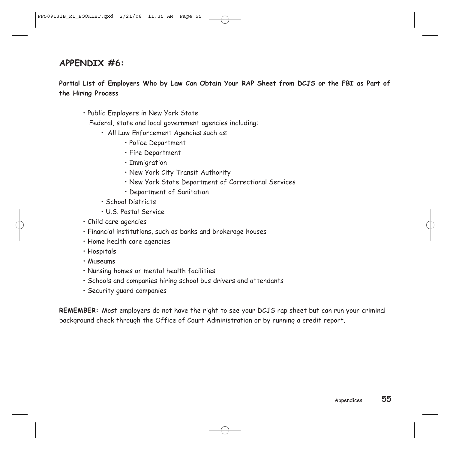## **APPENDIX #6:**

**Partial List of Employers Who by Law Can Obtain Your RAP Sheet from DCJS or the FBI as Part of the Hiring Process**

• Public Employers in New York State

Federal, state and local government agencies including:

- All Law Enforcement Agencies such as:
	- Police Department
	- Fire Department
	- Immigration
	- New York City Transit Authority
	- New York State Department of Correctional Services
	- Department of Sanitation
- School Districts
- U.S. Postal Service
- Child care agencies
- Financial institutions, such as banks and brokerage houses
- Home health care agencies
- Hospitals
- Museums
- Nursing homes or mental health facilities
- Schools and companies hiring school bus drivers and attendants
- Security guard companies

**REMEMBER:** Most employers do not have the right to see your DCJS rap sheet but can run your criminal background check through the Office of Court Administration or by running a credit report.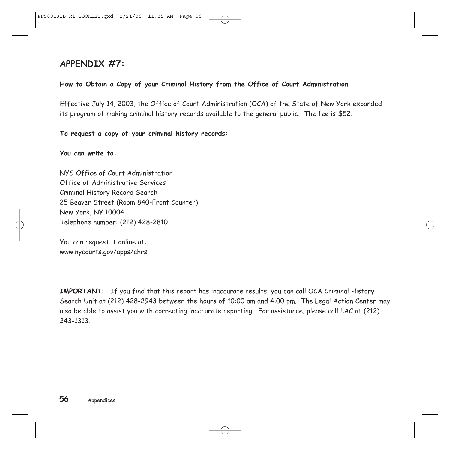## **APPENDIX #7:**

### **How to Obtain a Copy of your Criminal History from the Office of Court Administration**

Effective July 14, 2003, the Office of Court Administration (OCA) of the State of New York expanded its program of making criminal history records available to the general public. The fee is \$52.

**To request a copy of your criminal history records:**

**You can write to:**

NYS Office of Court Administration Office of Administrative Services Criminal History Record Search 25 Beaver Street (Room 840-Front Counter) New York, NY 10004 Telephone number: (212) 428-2810

You can request it online at: www.nycourts.gov/apps/chrs

**IMPORTANT:** If you find that this report has inaccurate results, you can call OCA Criminal History Search Unit at (212) 428-2943 between the hours of 10:00 am and 4:00 pm. The Legal Action Center may also be able to assist you with correcting inaccurate reporting. For assistance, please call LAC at (212) 243-1313.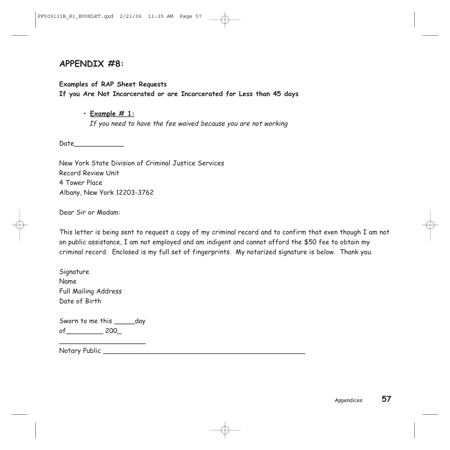## **APPENDIX #8:**

**Examples of RAP Sheet Requests** 

**If you Are Not Incarcerated or are Incarcerated for Less than 45 days**

**• Example # 1:**

If you need to have the fee waived because you are not working

Date\_\_\_\_\_\_\_\_\_\_\_\_

New York State Division of Criminal Justice Services Record Review Unit 4 Tower Place Albany, New York 12203-3762

Dear Sir or Madam:

This letter is being sent to request a copy of my criminal record and to confirm that even though I am not on public assistance, I am not employed and am indigent and cannot afford the \$50 fee to obtain my criminal record. Enclosed is my full set of fingerprints. My notarized signature is below. Thank you.

**Signature** Name Full Mailing Address Date of Birth

Sworn to me this day of\_\_\_\_\_\_\_\_\_ 200\_

\_\_\_\_\_\_\_\_\_\_\_\_\_\_\_\_\_\_\_\_\_

Notary Public \_\_\_\_\_\_\_\_\_\_\_\_\_\_\_\_\_\_\_\_\_\_\_\_\_\_\_\_\_\_\_\_\_\_\_\_\_\_\_\_\_\_\_\_\_\_\_\_\_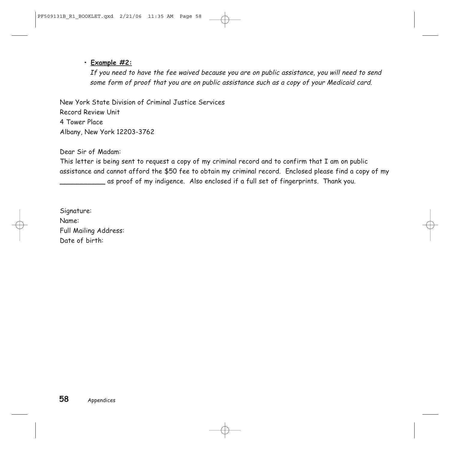### **• Example #2:**

If you need to have the fee waived because you are on public assistance, you will need to send some form of proof that you are on public assistance such as a copy of your Medicaid card.

New York State Division of Criminal Justice Services Record Review Unit 4 Tower Place Albany, New York 12203-3762

Dear Sir of Madam:

This letter is being sent to request a copy of my criminal record and to confirm that I am on public assistance and cannot afford the \$50 fee to obtain my criminal record. Enclosed please find a copy of my \_\_\_\_\_\_\_\_\_\_\_ as proof of my indigence. Also enclosed if a full set of fingerprints. Thank you.

Signature: Name: Full Mailing Address: Date of birth: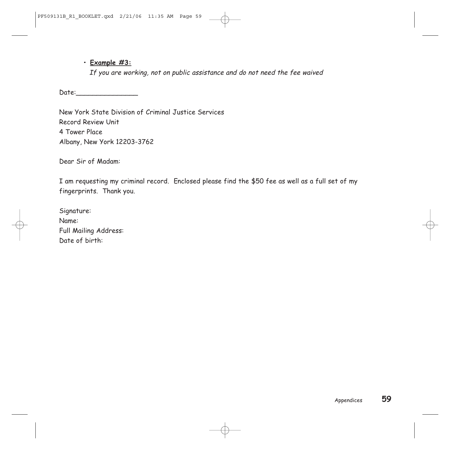### **• Example #3:**

If you are working, not on public assistance and do not need the fee waived

Date:\_\_\_\_\_\_\_\_\_\_\_\_\_\_\_

New York State Division of Criminal Justice Services Record Review Unit 4 Tower Place Albany, New York 12203-3762

Dear Sir of Madam:

I am requesting my criminal record. Enclosed please find the \$50 fee as well as a full set of my fingerprints. Thank you.

Signature: Name: Full Mailing Address: Date of birth: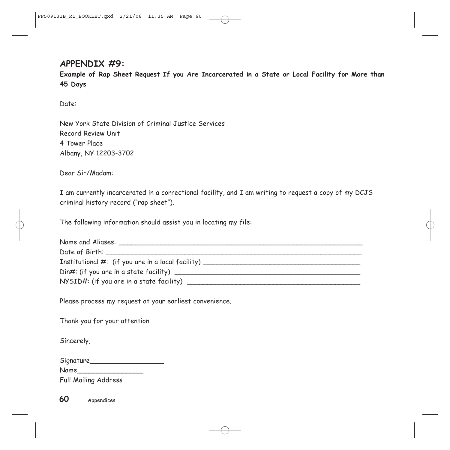## **APPENDIX #9:**

**Example of Rap Sheet Request If you Are Incarcerated in a State or Local Facility for More than 45 Days**

Date:

New York State Division of Criminal Justice Services Record Review Unit 4 Tower Place Albany, NY 12203-3702

Dear Sir/Madam:

I am currently incarcerated in a correctional facility, and I am writing to request a copy of my DCJS criminal history record ("rap sheet").

The following information should assist you in locating my file:

| Institutional $#$ : (if you are in a local facility) $\_\_$ |
|-------------------------------------------------------------|
| Din#: (if you are in a state facility) _______              |
|                                                             |

Please process my request at your earliest convenience.

Thank you for your attention.

Sincerely,

| Signature_ |  |
|------------|--|
| Name       |  |

Full Mailing Address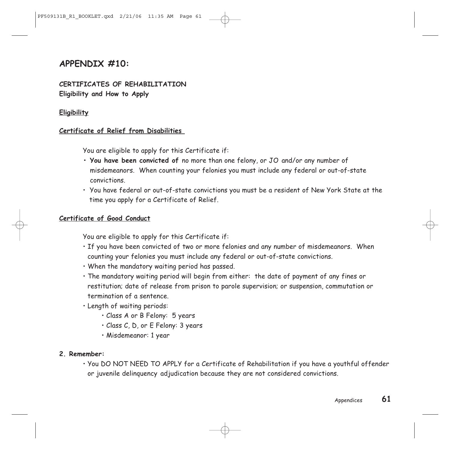## **APPENDIX #10:**

### **CERTIFICATES OF REHABILITATION Eligibility and How to Apply**

### **Eligibility**

### **Certificate of Relief from Disabilities**

You are eligible to apply for this Certificate if:

- **You have been convicted of** no more than one felony, or JO and/or any number of misdemeanors. When counting your felonies you must include any federal or out-of-state convictions.
- You have federal or out-of-state convictions you must be a resident of New York State at the time you apply for a Certificate of Relief.

#### **Certificate of Good Conduct**

You are eligible to apply for this Certificate if:

- If you have been convicted of two or more felonies and any number of misdemeanors. When counting your felonies you must include any federal or out-of-state convictions.
- When the mandatory waiting period has passed.
- The mandatory waiting period will begin from either: the date of payment of any fines or restitution; date of release from prison to parole supervision; or suspension, commutation or termination of a sentence.
- Length of waiting periods:
	- Class A or B Felony: 5 years
	- Class C, D, or E Felony: 3 years
	- Misdemeanor: 1 year

#### **2. Remember:**

• You DO NOT NEED TO APPLY for a Certificate of Rehabilitation if you have a youthful offender or juvenile delinquency adjudication because they are not considered convictions.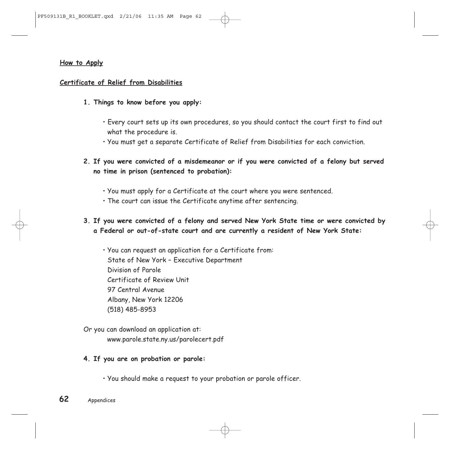#### **How to Apply**

#### **Certificate of Relief from Disabilities**

- **1. Things to know before you apply:**
	- Every court sets up its own procedures, so you should contact the court first to find out what the procedure is.
	- You must get a separate Certificate of Relief from Disabilities for each conviction.
- **2. If you were convicted of a misdemeanor or if you were convicted of a felony but served no time in prison (sentenced to probation):**
	- You must apply for a Certificate at the court where you were sentenced.
	- The court can issue the Certificate anytime after sentencing.
- **3. If you were convicted of a felony and served New York State time or were convicted by a Federal or out-of-state court and are currently a resident of New York State:**
	- You can request an application for a Certificate from: State of New York – Executive Department Division of Parole Certificate of Review Unit 97 Central Avenue Albany, New York 12206 (518) 485-8953
- Or you can download an application at: www.parole.state.ny.us/parolecert.pdf
- **4. If you are on probation or parole:**
	- You should make a request to your probation or parole officer.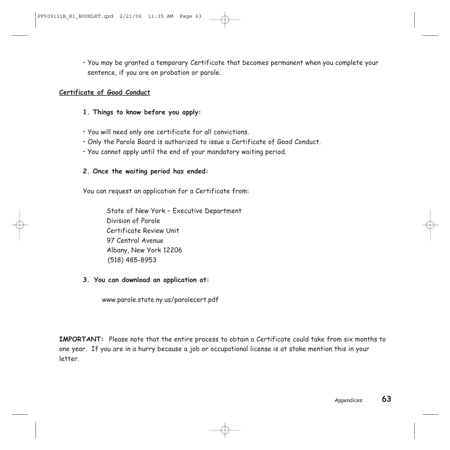• You may be granted a temporary Certificate that becomes permanent when you complete your sentence, if you are on probation or parole.

#### **Certificate of Good Conduct**

- **1. Things to know before you apply:**
- You will need only one certificate for all convictions.
- Only the Parole Board is authorized to issue a Certificate of Good Conduct.
- You cannot apply until the end of your mandatory waiting period.

### **2. Once the waiting period has ended:**

You can request an application for a Certificate from:

State of New York – Executive Department Division of Parole Certificate Review Unit 97 Central Avenue Albany, New York 12206 (518) 485-8953

**3. You can download an application at:** 

www.parole.state.ny.us/parolecert.pdf

**IMPORTANT:** Please note that the entire process to obtain a Certificate could take from six months to one year. If you are in a hurry because a job or occupational license is at stake mention this in your letter.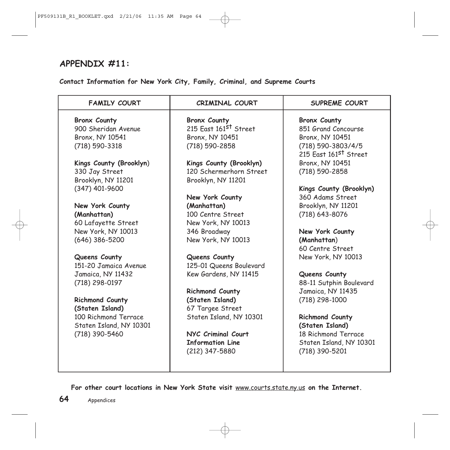## **APPENDIX #11:**

**Contact Information for New York City, Family, Criminal, and Supreme Courts**

| <b>FAMILY COURT</b>     | <b>CRIMINAL COURT</b>             | SUPREME COURT                     |
|-------------------------|-----------------------------------|-----------------------------------|
| <b>Bronx County</b>     | <b>Bronx County</b>               | <b>Bronx County</b>               |
| 900 Sheridan Avenue     | 215 East 161 <sup>st</sup> Street | 851 Grand Concourse               |
| Bronx, NY 10541         | Bronx, NY 10451                   | Bronx, NY 10451                   |
| (718) 590-3318          | (718) 590-2858                    | (718) 590-3803/4/5                |
|                         |                                   | 215 East 161 <sup>st</sup> Street |
| Kings County (Brooklyn) | Kings County (Brooklyn)           | Bronx, NY 10451                   |
| 330 Jay Street          | 120 Schermerhorn Street           | (718) 590-2858                    |
| Brooklyn, NY 11201      | Brooklyn, NY 11201                |                                   |
| (347) 401-9600          |                                   | Kings County (Brooklyn)           |
|                         | New York County                   | 360 Adams Street                  |
| New York County         | (Manhattan)                       | Brooklyn, NY 11201                |
| (Manhattan)             | 100 Centre Street                 | (718) 643-8076                    |
| 60 Lafayette Street     | New York, NY 10013                |                                   |
| New York, NY 10013      | 346 Broadway                      | New York County                   |
| $(646)$ 386-5200        | New York, NY 10013                | (Manhattan)                       |
|                         |                                   | 60 Centre Street                  |
| Queens County           | Queens County                     | New York, NY 10013                |
| 151-20 Jamaica Avenue   | 125-01 Queens Boulevard           |                                   |
| Jamaica, NY 11432       | Kew Gardens, NY 11415             | Queens County                     |
| (718) 298-0197          |                                   | 88-11 Sutphin Boulevard           |
|                         | <b>Richmond County</b>            | Jamaica, NY 11435                 |
| <b>Richmond County</b>  | (Staten Island)                   | (718) 298-1000                    |
| (Staten Island)         | 67 Targee Street                  |                                   |
| 100 Richmond Terrace    | Staten Island, NY 10301           | <b>Richmond County</b>            |
| Staten Island, NY 10301 |                                   | (Staten Island)                   |
| (718) 390-5460          | NYC Criminal Court                | 18 Richmond Terrace               |
|                         | <b>Information Line</b>           | Staten Island, NY 10301           |
|                         | (212) 347-5880                    | (718) 390-5201                    |
|                         |                                   |                                   |

For other court locations in New York State visit **www.courts.state.ny.us** on the Internet.